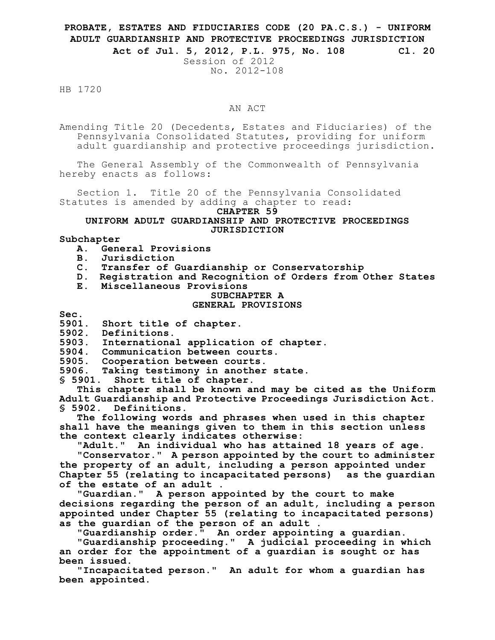# **PROBATE, ESTATES AND FIDUCIARIES CODE (20 PA.C.S.) - UNIFORM ADULT GUARDIANSHIP AND PROTECTIVE PROCEEDINGS JURISDICTION**

**Act of Jul. 5, 2012, P.L. 975, No. 108 Cl. 20**

Session of 2012 No. 2012-108

HB 1720

# AN ACT

Amending Title 20 (Decedents, Estates and Fiduciaries) of the Pennsylvania Consolidated Statutes, providing for uniform adult guardianship and protective proceedings jurisdiction.

The General Assembly of the Commonwealth of Pennsylvania hereby enacts as follows:

Section 1. Title 20 of the Pennsylvania Consolidated Statutes is amended by adding a chapter to read:

#### **CHAPTER 59**

# **UNIFORM ADULT GUARDIANSHIP AND PROTECTIVE PROCEEDINGS JURISDICTION**

# **Subchapter**

- **A. General Provisions**
- **B. Jurisdiction**
- **C. Transfer of Guardianship or Conservatorship**
- **D. Registration and Recognition of Orders from Other States**
- **E. Miscellaneous Provisions**

# **SUBCHAPTER A**

#### **GENERAL PROVISIONS**

**Sec.**

**5901. Short title of chapter.**

**5902. Definitions.**

**5903. International application of chapter.**

**5904. Communication between courts.**

**5905. Cooperation between courts.**

**5906. Taking testimony in another state.**

**§ 5901. Short title of chapter.**

**This chapter shall be known and may be cited as the Uniform Adult Guardianship and Protective Proceedings Jurisdiction Act. § 5902. Definitions.**

**The following words and phrases when used in this chapter shall have the meanings given to them in this section unless the context clearly indicates otherwise:**

**"Adult." An individual who has attained 18 years of age.**

**"Conservator." A person appointed by the court to administer the property of an adult, including a person appointed under Chapter 55 (relating to incapacitated persons) as the guardian of the estate of an adult .**

**"Guardian." A person appointed by the court to make decisions regarding the person of an adult, including a person appointed under Chapter 55 (relating to incapacitated persons) as the guardian of the person of an adult .**

**"Guardianship order." An order appointing a guardian.**

**"Guardianship proceeding." A judicial proceeding in which an order for the appointment of a guardian is sought or has been issued.**

**"Incapacitated person." An adult for whom a guardian has been appointed.**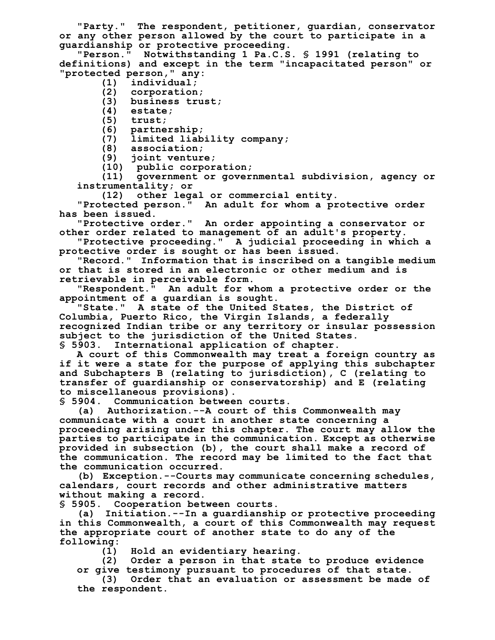**"Party." The respondent, petitioner, guardian, conservator or any other person allowed by the court to participate in a guardianship or protective proceeding.**

**"Person." Notwithstanding 1 Pa.C.S. § 1991 (relating to definitions) and except in the term "incapacitated person" or "protected person," any:**

- **(1) individual;**
- **(2) corporation;**
- **(3) business trust;**
- **(4) estate;**
- **(5) trust;**
- **(6) partnership;**
- **(7) limited liability company;**
- **(8) association;**
- **(9) joint venture;**
- **(10) public corporation;**

**(11) government or governmental subdivision, agency or instrumentality; or**

**(12) other legal or commercial entity.**

**"Protected person." An adult for whom a protective order has been issued.**

**"Protective order." An order appointing a conservator or other order related to management of an adult's property.**

**"Protective proceeding." A judicial proceeding in which a protective order is sought or has been issued.**

**"Record." Information that is inscribed on a tangible medium or that is stored in an electronic or other medium and is retrievable in perceivable form.**

**"Respondent." An adult for whom a protective order or the appointment of a guardian is sought.**

**"State." A state of the United States, the District of Columbia, Puerto Rico, the Virgin Islands, a federally recognized Indian tribe or any territory or insular possession subject to the jurisdiction of the United States. § 5903. International application of chapter.**

**A court of this Commonwealth may treat a foreign country as if it were a state for the purpose of applying this subchapter and Subchapters B (relating to jurisdiction), C (relating to transfer of guardianship or conservatorship) and E (relating to miscellaneous provisions).**

**§ 5904. Communication between courts.**

**(a) Authorization.--A court of this Commonwealth may communicate with a court in another state concerning a proceeding arising under this chapter. The court may allow the parties to participate in the communication. Except as otherwise provided in subsection (b), the court shall make a record of the communication. The record may be limited to the fact that the communication occurred.**

**(b) Exception.--Courts may communicate concerning schedules, calendars, court records and other administrative matters without making a record.**

**§ 5905. Cooperation between courts.**

**(a) Initiation.--In a guardianship or protective proceeding in this Commonwealth, a court of this Commonwealth may request the appropriate court of another state to do any of the following:**

**(1) Hold an evidentiary hearing.**

**(2) Order a person in that state to produce evidence**

**or give testimony pursuant to procedures of that state.**

**(3) Order that an evaluation or assessment be made of the respondent.**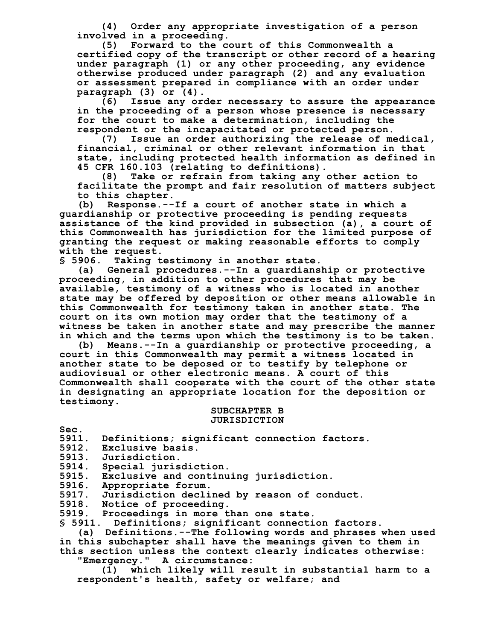**(4) Order any appropriate investigation of a person involved in a proceeding.**

**(5) Forward to the court of this Commonwealth a certified copy of the transcript or other record of a hearing under paragraph (1) or any other proceeding, any evidence otherwise produced under paragraph (2) and any evaluation or assessment prepared in compliance with an order under paragraph (3) or (4).**

**(6) Issue any order necessary to assure the appearance in the proceeding of a person whose presence is necessary for the court to make a determination, including the respondent or the incapacitated or protected person.**

**(7) Issue an order authorizing the release of medical, financial, criminal or other relevant information in that state, including protected health information as defined in 45 CFR 160.103 (relating to definitions).**

**(8) Take or refrain from taking any other action to facilitate the prompt and fair resolution of matters subject to this chapter.**

**(b) Response.--If a court of another state in which a guardianship or protective proceeding is pending requests assistance of the kind provided in subsection (a), a court of this Commonwealth has jurisdiction for the limited purpose of granting the request or making reasonable efforts to comply with the request.**

**§ 5906. Taking testimony in another state.**

**(a) General procedures.--In a guardianship or protective proceeding, in addition to other procedures that may be available, testimony of a witness who is located in another state may be offered by deposition or other means allowable in this Commonwealth for testimony taken in another state. The court on its own motion may order that the testimony of a witness be taken in another state and may prescribe the manner in which and the terms upon which the testimony is to be taken.**

**(b) Means.--In a guardianship or protective proceeding, a court in this Commonwealth may permit a witness located in another state to be deposed or to testify by telephone or audiovisual or other electronic means. A court of this Commonwealth shall cooperate with the court of the other state in designating an appropriate location for the deposition or testimony.**

#### **SUBCHAPTER B JURISDICTION**

**Sec.**

- **5911. Definitions; significant connection factors.**
- **5912. Exclusive basis.**
- **5913. Jurisdiction.**
- **5914. Special jurisdiction.**
- **5915. Exclusive and continuing jurisdiction.**
- **5916. Appropriate forum.**
- **5917. Jurisdiction declined by reason of conduct.**
- **5918. Notice of proceeding.**
- **5919. Proceedings in more than one state.**

**§ 5911. Definitions; significant connection factors.**

**(a) Definitions.--The following words and phrases when used in this subchapter shall have the meanings given to them in this section unless the context clearly indicates otherwise:**

**"Emergency." A circumstance:**

**(1) which likely will result in substantial harm to a respondent's health, safety or welfare; and**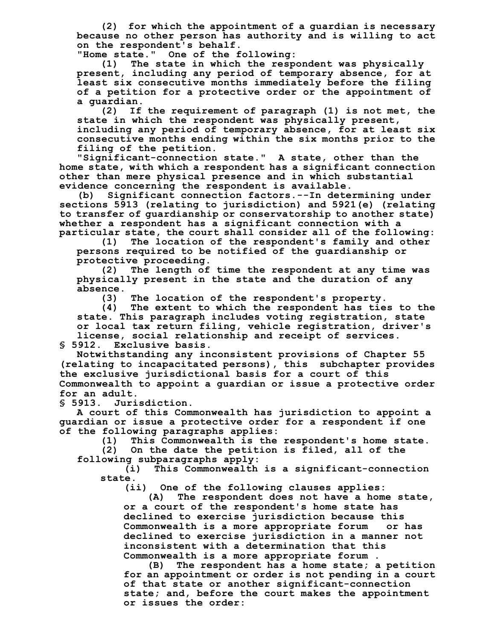**(2) for which the appointment of a guardian is necessary because no other person has authority and is willing to act on the respondent's behalf.**

**"Home state." One of the following:**

**(1) The state in which the respondent was physically present, including any period of temporary absence, for at least six consecutive months immediately before the filing of a petition for a protective order or the appointment of a guardian.**

**(2) If the requirement of paragraph (1) is not met, the state in which the respondent was physically present, including any period of temporary absence, for at least six consecutive months ending within the six months prior to the filing of the petition.**

**"Significant-connection state." A state, other than the home state, with which a respondent has a significant connection other than mere physical presence and in which substantial evidence concerning the respondent is available.**

**(b) Significant connection factors.--In determining under sections 5913 (relating to jurisdiction) and 5921(e) (relating to transfer of guardianship or conservatorship to another state) whether a respondent has a significant connection with a particular state, the court shall consider all of the following:**

**(1) The location of the respondent's family and other persons required to be notified of the guardianship or protective proceeding.**

**(2) The length of time the respondent at any time was physically present in the state and the duration of any absence.**

**(3) The location of the respondent's property.**

**(4) The extent to which the respondent has ties to the state. This paragraph includes voting registration, state or local tax return filing, vehicle registration, driver's license, social relationship and receipt of services.**

**§ 5912. Exclusive basis.**

**Notwithstanding any inconsistent provisions of Chapter 55 (relating to incapacitated persons), this subchapter provides the exclusive jurisdictional basis for a court of this Commonwealth to appoint a guardian or issue a protective order for an adult.**

**§ 5913. Jurisdiction.**

**A court of this Commonwealth has jurisdiction to appoint a guardian or issue a protective order for a respondent if one of the following paragraphs applies:**

**(1) This Commonwealth is the respondent's home state.**

**(2) On the date the petition is filed, all of the following subparagraphs apply:**

**(i) This Commonwealth is a significant-connection state.**

**(ii) One of the following clauses applies:**

**(A) The respondent does not have a home state, or a court of the respondent's home state has declined to exercise jurisdiction because this Commonwealth is a more appropriate forum or has declined to exercise jurisdiction in a manner not inconsistent with a determination that this Commonwealth is a more appropriate forum .**

**(B) The respondent has a home state; a petition for an appointment or order is not pending in a court of that state or another significant-connection state; and, before the court makes the appointment or issues the order:**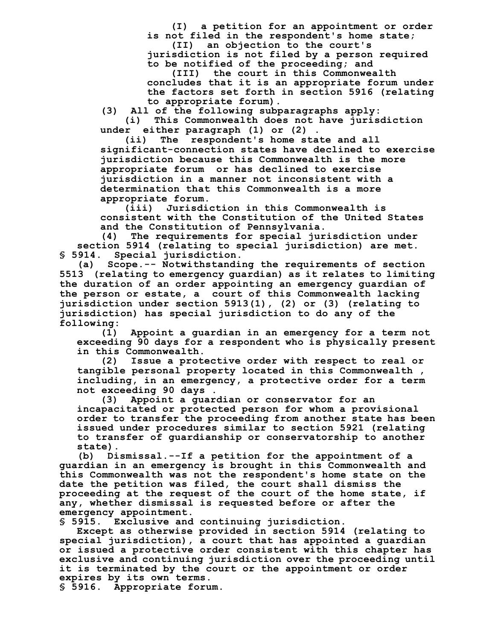**(I) a petition for an appointment or order is not filed in the respondent's home state; (II) an objection to the court's**

**jurisdiction is not filed by a person required to be notified of the proceeding; and**

**(III) the court in this Commonwealth concludes that it is an appropriate forum under the factors set forth in section 5916 (relating to appropriate forum).**

**(3) All of the following subparagraphs apply: (i) This Commonwealth does not have jurisdiction**

**under either paragraph (1) or (2) .**

**(ii) The respondent's home state and all significant-connection states have declined to exercise jurisdiction because this Commonwealth is the more appropriate forum or has declined to exercise jurisdiction in a manner not inconsistent with a determination that this Commonwealth is a more appropriate forum.**

**(iii) Jurisdiction in this Commonwealth is consistent with the Constitution of the United States and the Constitution of Pennsylvania.**

**(4) The requirements for special jurisdiction under section 5914 (relating to special jurisdiction) are met. § 5914. Special jurisdiction.**

**(a) Scope.-- Notwithstanding the requirements of section 5513 (relating to emergency guardian) as it relates to limiting the duration of an order appointing an emergency guardian of the person or estate, a court of this Commonwealth lacking jurisdiction under section 5913(1), (2) or (3) (relating to jurisdiction) has special jurisdiction to do any of the following:**

**(1) Appoint a guardian in an emergency for a term not exceeding 90 days for a respondent who is physically present in this Commonwealth.**

**(2) Issue a protective order with respect to real or tangible personal property located in this Commonwealth , including, in an emergency, a protective order for a term not exceeding 90 days .**

**(3) Appoint a guardian or conservator for an incapacitated or protected person for whom a provisional order to transfer the proceeding from another state has been issued under procedures similar to section 5921 (relating to transfer of guardianship or conservatorship to another state).**

**(b) Dismissal.--If a petition for the appointment of a guardian in an emergency is brought in this Commonwealth and this Commonwealth was not the respondent's home state on the date the petition was filed, the court shall dismiss the proceeding at the request of the court of the home state, if any, whether dismissal is requested before or after the emergency appointment.**

**§ 5915. Exclusive and continuing jurisdiction.**

**Except as otherwise provided in section 5914 (relating to special jurisdiction), a court that has appointed a guardian or issued a protective order consistent with this chapter has exclusive and continuing jurisdiction over the proceeding until it is terminated by the court or the appointment or order expires by its own terms.**

**§ 5916. Appropriate forum.**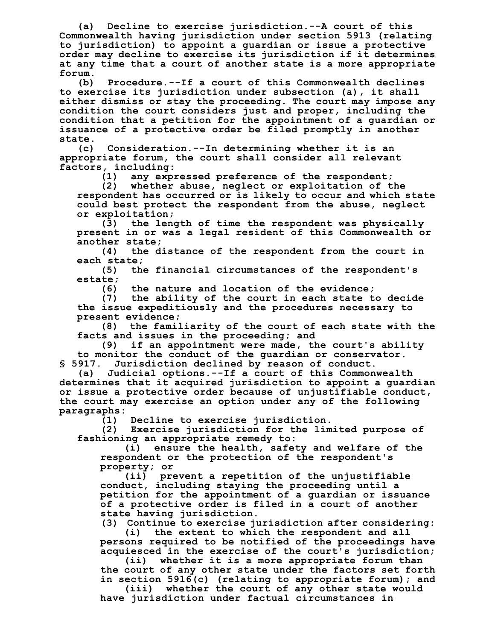**(a) Decline to exercise jurisdiction.--A court of this Commonwealth having jurisdiction under section 5913 (relating to jurisdiction) to appoint a guardian or issue a protective order may decline to exercise its jurisdiction if it determines at any time that a court of another state is a more appropriate forum.**

**(b) Procedure.--If a court of this Commonwealth declines to exercise its jurisdiction under subsection (a), it shall either dismiss or stay the proceeding. The court may impose any condition the court considers just and proper, including the condition that a petition for the appointment of a guardian or issuance of a protective order be filed promptly in another state.**

**(c) Consideration.--In determining whether it is an appropriate forum, the court shall consider all relevant factors, including:**

**(1) any expressed preference of the respondent;**

**(2) whether abuse, neglect or exploitation of the respondent has occurred or is likely to occur and which state could best protect the respondent from the abuse, neglect or exploitation;**

**(3) the length of time the respondent was physically present in or was a legal resident of this Commonwealth or**

**another state; (4) the distance of the respondent from the court in each state;**

**(5) the financial circumstances of the respondent's estate;**

**(6) the nature and location of the evidence;**

**(7) the ability of the court in each state to decide the issue expeditiously and the procedures necessary to present evidence;**

**(8) the familiarity of the court of each state with the facts and issues in the proceeding; and**

**(9) if an appointment were made, the court's ability to monitor the conduct of the guardian or conservator. § 5917. Jurisdiction declined by reason of conduct.**

**(a) Judicial options.--If a court of this Commonwealth determines that it acquired jurisdiction to appoint a guardian or issue a protective order because of unjustifiable conduct, the court may exercise an option under any of the following paragraphs:**

**(1) Decline to exercise jurisdiction.**

**(2) Exercise jurisdiction for the limited purpose of fashioning an appropriate remedy to:**

**(i) ensure the health, safety and welfare of the respondent or the protection of the respondent's property; or**

**(ii) prevent a repetition of the unjustifiable conduct, including staying the proceeding until a petition for the appointment of a guardian or issuance of a protective order is filed in a court of another state having jurisdiction.**

**(3) Continue to exercise jurisdiction after considering:**

**(i) the extent to which the respondent and all persons required to be notified of the proceedings have acquiesced in the exercise of the court's jurisdiction;**

**(ii) whether it is a more appropriate forum than the court of any other state under the factors set forth in section 5916(c) (relating to appropriate forum); and**

**(iii) whether the court of any other state would have jurisdiction under factual circumstances in**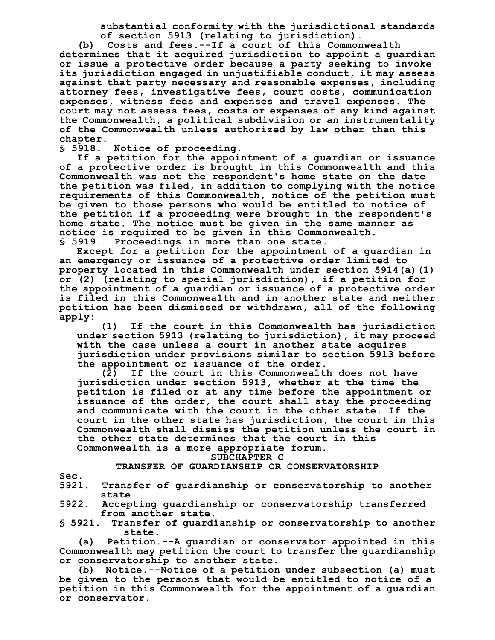**substantial conformity with the jurisdictional standards of section 5913 (relating to jurisdiction).**

**(b) Costs and fees.--If a court of this Commonwealth determines that it acquired jurisdiction to appoint a guardian or issue a protective order because a party seeking to invoke its jurisdiction engaged in unjustifiable conduct, it may assess against that party necessary and reasonable expenses, including attorney fees, investigative fees, court costs, communication expenses, witness fees and expenses and travel expenses. The court may not assess fees, costs or expenses of any kind against the Commonwealth, a political subdivision or an instrumentality of the Commonwealth unless authorized by law other than this chapter.**

**§ 5918. Notice of proceeding.**

**If a petition for the appointment of a guardian or issuance of a protective order is brought in this Commonwealth and this Commonwealth was not the respondent's home state on the date the petition was filed, in addition to complying with the notice requirements of this Commonwealth, notice of the petition must be given to those persons who would be entitled to notice of the petition if a proceeding were brought in the respondent's home state. The notice must be given in the same manner as notice is required to be given in this Commonwealth. § 5919. Proceedings in more than one state.**

**Except for a petition for the appointment of a guardian in an emergency or issuance of a protective order limited to property located in this Commonwealth under section 5914(a)(1) or (2) (relating to special jurisdiction), if a petition for the appointment of a guardian or issuance of a protective order is filed in this Commonwealth and in another state and neither petition has been dismissed or withdrawn, all of the following apply:**

**(1) If the court in this Commonwealth has jurisdiction under section 5913 (relating to jurisdiction), it may proceed with the case unless a court in another state acquires jurisdiction under provisions similar to section 5913 before the appointment or issuance of the order.**

**(2) If the court in this Commonwealth does not have jurisdiction under section 5913, whether at the time the petition is filed or at any time before the appointment or issuance of the order, the court shall stay the proceeding and communicate with the court in the other state. If the court in the other state has jurisdiction, the court in this Commonwealth shall dismiss the petition unless the court in the other state determines that the court in this**

**Commonwealth is a more appropriate forum.**

# **SUBCHAPTER C**

# **TRANSFER OF GUARDIANSHIP OR CONSERVATORSHIP**

- **Sec.**
- **5921. Transfer of guardianship or conservatorship to another state.**
- **5922. Accepting guardianship or conservatorship transferred from another state.**

**§ 5921. Transfer of guardianship or conservatorship to another state.**

**(a) Petition.--A guardian or conservator appointed in this Commonwealth may petition the court to transfer the guardianship or conservatorship to another state.**

**(b) Notice.--Notice of a petition under subsection (a) must be given to the persons that would be entitled to notice of a petition in this Commonwealth for the appointment of a guardian or conservator.**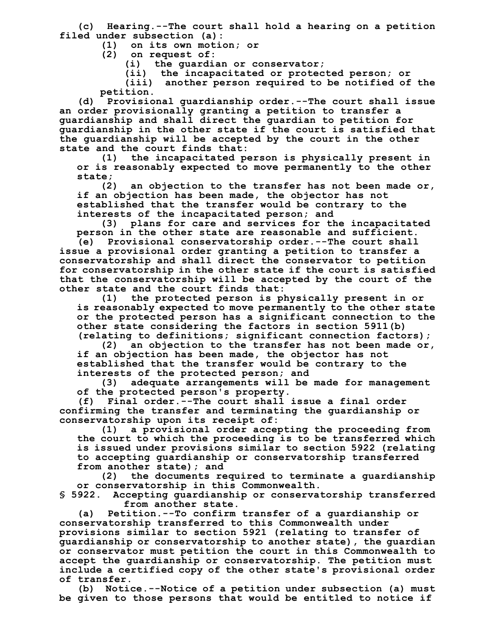**(c) Hearing.--The court shall hold a hearing on a petition filed under subsection (a):**

**(1) on its own motion; or**

**(2) on request of:**

**(i) the guardian or conservator;**

**(ii) the incapacitated or protected person; or**

**(iii) another person required to be notified of the petition.**

**(d) Provisional guardianship order.--The court shall issue an order provisionally granting a petition to transfer a guardianship and shall direct the guardian to petition for guardianship in the other state if the court is satisfied that the guardianship will be accepted by the court in the other state and the court finds that:**

**(1) the incapacitated person is physically present in or is reasonably expected to move permanently to the other**

**state; (2) an objection to the transfer has not been made or, if an objection has been made, the objector has not established that the transfer would be contrary to the interests of the incapacitated person; and**

**(3) plans for care and services for the incapacitated person in the other state are reasonable and sufficient.**

**(e) Provisional conservatorship order.--The court shall issue a provisional order granting a petition to transfer a conservatorship and shall direct the conservator to petition for conservatorship in the other state if the court is satisfied that the conservatorship will be accepted by the court of the other state and the court finds that:**

**(1) the protected person is physically present in or is reasonably expected to move permanently to the other state or the protected person has a significant connection to the other state considering the factors in section 5911(b) (relating to definitions; significant connection factors);**

**(2) an objection to the transfer has not been made or, if an objection has been made, the objector has not established that the transfer would be contrary to the**

**interests of the protected person; and (3) adequate arrangements will be made for management**

**of the protected person's property.**

**(f) Final order.--The court shall issue a final order confirming the transfer and terminating the guardianship or conservatorship upon its receipt of:**

**(1) a provisional order accepting the proceeding from the court to which the proceeding is to be transferred which is issued under provisions similar to section 5922 (relating to accepting guardianship or conservatorship transferred from another state); and**

**(2) the documents required to terminate a guardianship or conservatorship in this Commonwealth.**

**§ 5922. Accepting guardianship or conservatorship transferred from another state.**

**(a) Petition.--To confirm transfer of a guardianship or conservatorship transferred to this Commonwealth under provisions similar to section 5921 (relating to transfer of guardianship or conservatorship to another state), the guardian or conservator must petition the court in this Commonwealth to accept the guardianship or conservatorship. The petition must include a certified copy of the other state's provisional order of transfer.**

**(b) Notice.--Notice of a petition under subsection (a) must be given to those persons that would be entitled to notice if**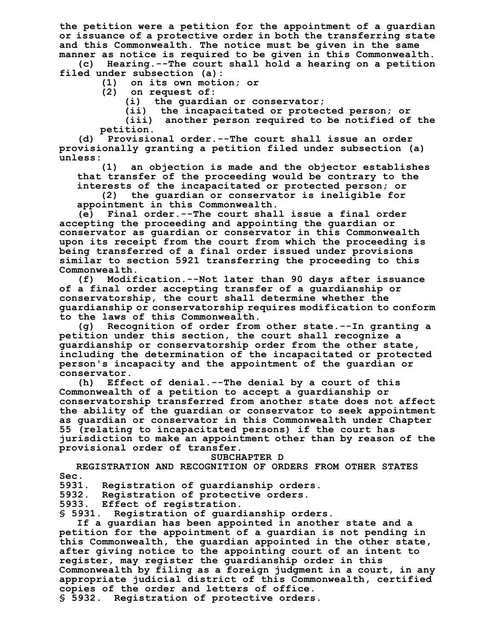**the petition were a petition for the appointment of a guardian or issuance of a protective order in both the transferring state and this Commonwealth. The notice must be given in the same manner as notice is required to be given in this Commonwealth.**

**(c) Hearing.--The court shall hold a hearing on a petition filed under subsection (a):**

**(1) on its own motion; or**

**(2) on request of:**

**(i) the guardian or conservator;**

**(ii) the incapacitated or protected person; or**

**(iii) another person required to be notified of the petition.**

**(d) Provisional order.--The court shall issue an order provisionally granting a petition filed under subsection (a) unless:**

**(1) an objection is made and the objector establishes that transfer of the proceeding would be contrary to the interests of the incapacitated or protected person; or**

**(2) the guardian or conservator is ineligible for appointment in this Commonwealth.**

**(e) Final order.--The court shall issue a final order accepting the proceeding and appointing the guardian or conservator as guardian or conservator in this Commonwealth upon its receipt from the court from which the proceeding is being transferred of a final order issued under provisions similar to section 5921 transferring the proceeding to this Commonwealth.**

**(f) Modification.--Not later than 90 days after issuance of a final order accepting transfer of a guardianship or conservatorship, the court shall determine whether the guardianship or conservatorship requires modification to conform to the laws of this Commonwealth.**

**(g) Recognition of order from other state.--In granting a petition under this section, the court shall recognize a guardianship or conservatorship order from the other state, including the determination of the incapacitated or protected person's incapacity and the appointment of the guardian or conservator.**

**(h) Effect of denial.--The denial by a court of this Commonwealth of a petition to accept a guardianship or conservatorship transferred from another state does not affect the ability of the guardian or conservator to seek appointment as guardian or conservator in this Commonwealth under Chapter 55 (relating to incapacitated persons) if the court has jurisdiction to make an appointment other than by reason of the provisional order of transfer.**

### **SUBCHAPTER D**

**REGISTRATION AND RECOGNITION OF ORDERS FROM OTHER STATES Sec.**

**5931. Registration of guardianship orders.**

**5932. Registration of protective orders.**

**5933. Effect of registration.**

**§ 5931. Registration of guardianship orders.**

**If a guardian has been appointed in another state and a petition for the appointment of a guardian is not pending in this Commonwealth, the guardian appointed in the other state, after giving notice to the appointing court of an intent to register, may register the guardianship order in this Commonwealth by filing as a foreign judgment in a court, in any appropriate judicial district of this Commonwealth, certified copies of the order and letters of office. § 5932. Registration of protective orders.**